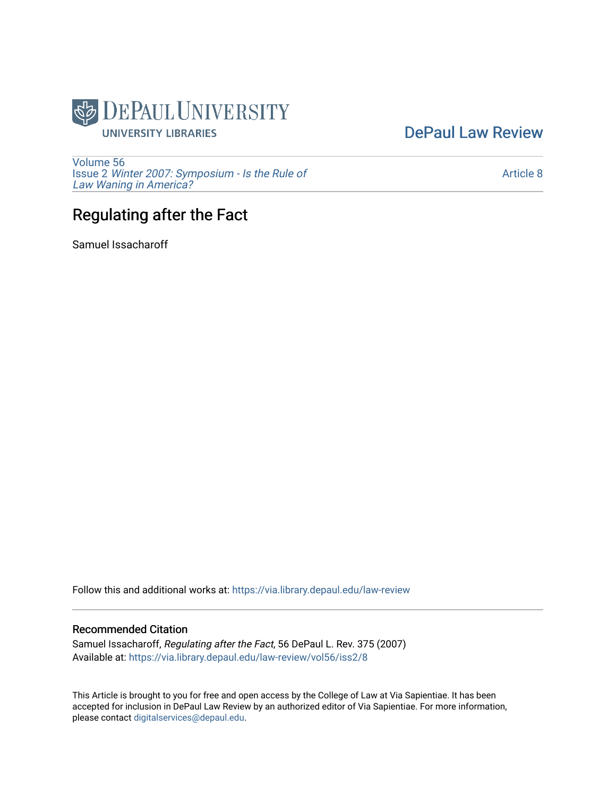

[DePaul Law Review](https://via.library.depaul.edu/law-review) 

[Volume 56](https://via.library.depaul.edu/law-review/vol56) Issue 2 [Winter 2007: Symposium - Is the Rule of](https://via.library.depaul.edu/law-review/vol56/iss2) [Law Waning in America?](https://via.library.depaul.edu/law-review/vol56/iss2) 

[Article 8](https://via.library.depaul.edu/law-review/vol56/iss2/8) 

# Regulating after the Fact

Samuel Issacharoff

Follow this and additional works at: [https://via.library.depaul.edu/law-review](https://via.library.depaul.edu/law-review?utm_source=via.library.depaul.edu%2Flaw-review%2Fvol56%2Fiss2%2F8&utm_medium=PDF&utm_campaign=PDFCoverPages) 

## Recommended Citation

Samuel Issacharoff, Regulating after the Fact, 56 DePaul L. Rev. 375 (2007) Available at: [https://via.library.depaul.edu/law-review/vol56/iss2/8](https://via.library.depaul.edu/law-review/vol56/iss2/8?utm_source=via.library.depaul.edu%2Flaw-review%2Fvol56%2Fiss2%2F8&utm_medium=PDF&utm_campaign=PDFCoverPages) 

This Article is brought to you for free and open access by the College of Law at Via Sapientiae. It has been accepted for inclusion in DePaul Law Review by an authorized editor of Via Sapientiae. For more information, please contact [digitalservices@depaul.edu.](mailto:digitalservices@depaul.edu)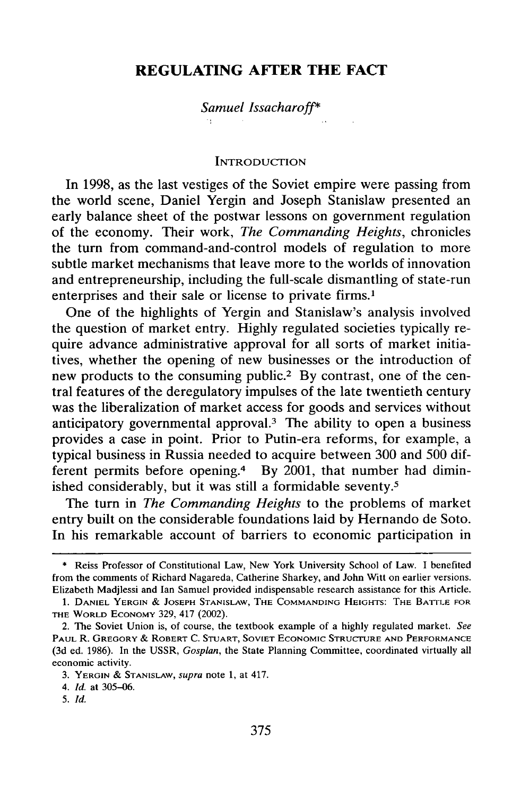# **REGULATING AFTER THE FACT**

### *Samuel Issacharoff\**

#### **INTRODUCTION**

In 1998, as the last vestiges of the Soviet empire were passing from the world scene, Daniel Yergin and Joseph Stanislaw presented an early balance sheet of the postwar lessons on government regulation of the economy. Their work, *The Commanding Heights,* chronicles the turn from command-and-control models of regulation to more subtle market mechanisms that leave more to the worlds of innovation and entrepreneurship, including the full-scale dismantling of state-run enterprises and their sale or license to private firms.<sup>1</sup>

One of the highlights of Yergin and Stanislaw's analysis involved the question of market entry. Highly regulated societies typically require advance administrative approval for all sorts of market initiatives, whether the opening of new businesses or the introduction of new products to the consuming public.<sup>2</sup> By contrast, one of the central features of the deregulatory impulses of the late twentieth century was the liberalization of market access for goods and services without anticipatory governmental approval.<sup>3</sup> The ability to open a business provides a case in point. Prior to Putin-era reforms, for example, a typical business in Russia needed to acquire between 300 and 500 different permits before opening.<sup>4</sup> By 2001, that number had diminished considerably, but it was still a formidable seventy.<sup>5</sup>

The turn in *The Commanding Heights* to the problems of market entry built on the considerable foundations laid by Hernando de Soto. In his remarkable account of barriers to economic participation in

<sup>\*</sup> Reiss Professor of Constitutional Law, New York University School of Law. I benefited from the comments of Richard Nagareda, Catherine Sharkey, and John Witt on earlier versions. Elizabeth Madjlessi and Ian Samuel provided indispensable research assistance for this Article.

<sup>1.</sup> DANIEL YERGIN **& JOSEPH STANISLAW,** THE **COMMANDING HEIGHTS:** THE BATTLE FOR THE WORLD ECONOMY 329, 417 (2002).

<sup>2.</sup> The Soviet Union is, of course, the textbook example of a highly regulated market. *See* PAUL R. GREGORY & ROBERT **C. STUART, SOVIET ECONOMIC** STRUCTURE **AND PERFORMANCE** (3d ed. 1986). In the USSR, *Gosplan,* the State Planning Committee, coordinated virtually all economic activity.

<sup>3.</sup> YERGIN & **STANISLAW,** *supra* note 1, at 417.

*<sup>4.</sup> Id.* at 305-06.

<sup>5.</sup> *Id.*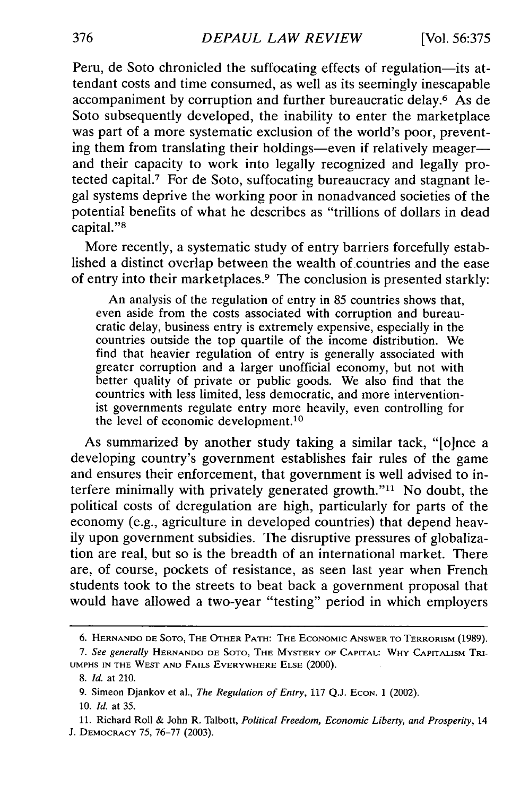Peru, de Soto chronicled the suffocating effects of regulation-its attendant costs and time consumed, as well as its seemingly inescapable accompaniment by corruption and further bureaucratic delay.<sup>6</sup> As de Soto subsequently developed, the inability to enter the marketplace was part of a more systematic exclusion of the world's poor, preventing them from translating their holdings-even if relatively meagerand their capacity to work into legally recognized and legally protected capital.7 For de Soto, suffocating bureaucracy and stagnant legal systems deprive the working poor in nonadvanced societies of the potential benefits of what he describes as "trillions of dollars in dead capital."<sup>8</sup>

More recently, a systematic study of entry barriers forcefully established a distinct overlap between the wealth of countries and the ease of entry into their marketplaces.<sup>9</sup> The conclusion is presented starkly:

An analysis of the regulation of entry in 85 countries shows that, even aside from the costs associated with corruption and bureaucratic delay, business entry is extremely expensive, especially in the countries outside the top quartile of the income distribution. We find that heavier regulation of entry is generally associated with greater corruption and a larger unofficial economy, but not with better quality of private or public goods. We also find that the countries with less limited, less democratic, and more interventionist governments regulate entry more heavily, even controlling for the level of economic development.<sup>10</sup>

As summarized by another study taking a similar tack, "[o]nce a developing country's government establishes fair rules of the game and ensures their enforcement, that government is well advised to interfere minimally with privately generated growth."<sup>11</sup> No doubt, the political costs of deregulation are high, particularly for parts of the economy (e.g., agriculture in developed countries) that depend heavily upon government subsidies. The disruptive pressures of globalization are real, but so is the breadth of an international market. There are, of course, pockets of resistance, as seen last year when French students took to the streets to beat back a government proposal that would have allowed a two-year "testing" period in which employers

<sup>6.</sup> **HERNANDO DE SOTO,** THE **OTHER** PATH: **THE** ECONOMIC ANSWER TO TERRORISM (1989).

*<sup>7.</sup> See generally* **HERNANDO DE SOTO,** THE MYSTERY OF CAPITAL: WHY CAPITALISM TRI-**UMPHS IN THE** WEST **AND** FAILS EVERYWHERE **ELSE** (2000).

*<sup>8.</sup> Id.* at 210.

<sup>9.</sup> Simeon Djankov et al., *The Regulation of Entry*, 117 Q.J. Econ. 1 (2002).

<sup>10.</sup> *Id.* at 35.

**<sup>11.</sup>** Richard Roll & John R. Talbott, *Political Freedom, Economic Liberty, and Prosperity,* 14 J. DEMOCRACY 75, 76-77 (2003).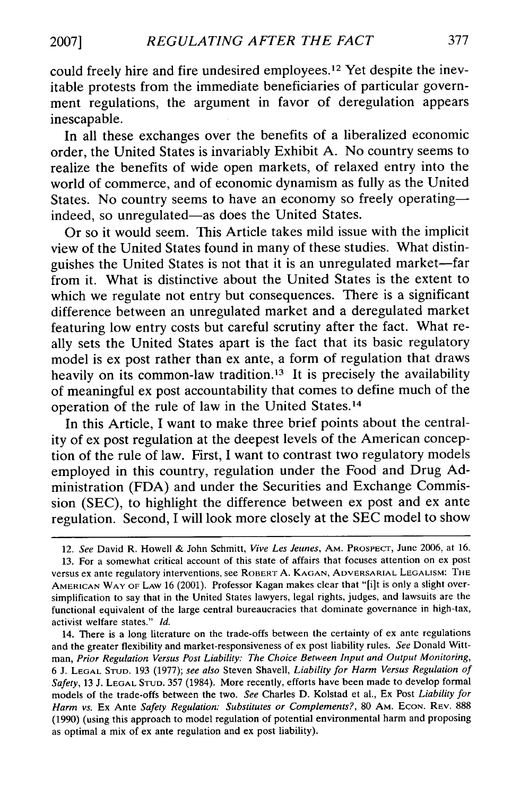could freely hire and fire undesired employees.<sup>12</sup> Yet despite the inevitable protests from the immediate beneficiaries of particular government regulations, the argument in favor of deregulation appears inescapable.

In all these exchanges over the benefits of a liberalized economic order, the United States is invariably Exhibit A. No country seems to realize the benefits of wide open markets, of relaxed entry into the world of commerce, and of economic dynamism as fully as the United States. No country seems to have an economy so freely operatingindeed, so unregulated-as does the United States.

Or so it would seem. This Article takes mild issue with the implicit view of the United States found in many of these studies. What distinguishes the United States is not that it is an unregulated market-far from it. What is distinctive about the United States is the extent to which we regulate not entry but consequences. There is a significant difference between an unregulated market and a deregulated market featuring low entry costs but careful scrutiny after the fact. What really sets the United States apart is the fact that its basic regulatory model is ex post rather than ex ante, a form of regulation that draws heavily on its common-law tradition.<sup>13</sup> It is precisely the availability of meaningful ex post accountability that comes to define much of the operation of the rule of law in the United States. <sup>14</sup>

In this Article, I want to make three brief points about the centrality of ex post regulation at the deepest levels of the American conception of the rule of law. First, I want to contrast two regulatory models employed in this country, regulation under the Food and Drug Administration (FDA) and under the Securities and Exchange Commission (SEC), to highlight the difference between ex post and ex ante regulation. Second, I will look more closely at the SEC model to show

12. *See* David R. Howell & John Schmitt, *Vive Les Jeunes,* AM. PROSPECT, June 2006, at 16.

13. For a somewhat critical account of this state of affairs that focuses attention on ex post versus ex ante regulatory interventions, see ROBERT **A.** KAGAN, ADVERSARIAL LEGALISM: THE AMERICAN WAY OF LAW 16 (2001). Professor Kagan makes clear that "[i]t is only a slight oversimplification to say that in the United States lawyers, legal rights, judges, and lawsuits are the functional equivalent of the large central bureaucracies that dominate governance in high-tax, activist welfare states." *Id.*

14. There is a long literature on the trade-offs between the certainty of ex ante regulations and the greater flexibility and market-responsiveness of ex post liability rules. *See* Donald Wittman, *Prior Regulation Versus Post Liability: The Choice Between Input and Output Monitoring,* 6 J. **LEGAL STUD.** 193 (1977); *see also* Steven Shavell, *Liability for Harm Versus Regulation of Safety,* 13 J. **LEGAL STUD.** 357 (1984). More recently, efforts have been made to develop formal models of the trade-offs between the two. *See* Charles D. Kolstad et al., Ex Post *Liability for* Harm vs. Ex Ante Safety Regulation: Substitutes or Complements?, 80 AM. ECON. REV. 888 (1990) (using this approach to model regulation of potential environmental harm and proposing as optimal a mix of ex ante regulation and ex post liability).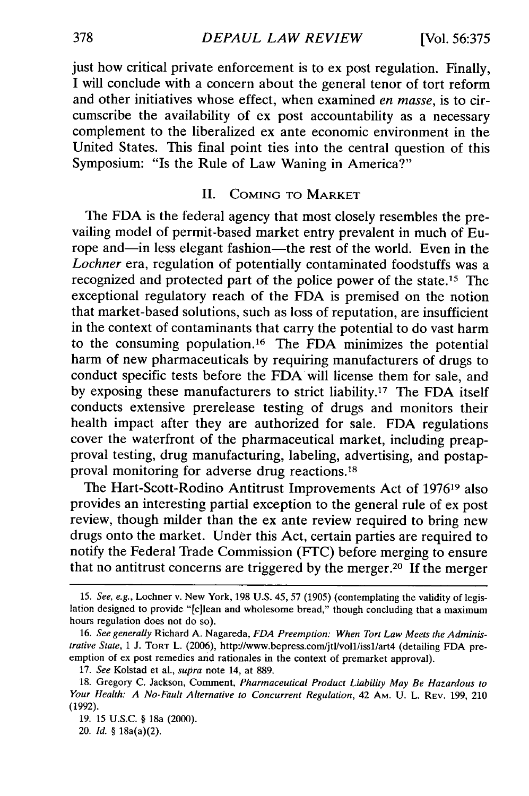just how critical private enforcement is to ex post regulation. Finally, I will conclude with a concern about the general tenor of tort reform and other initiatives whose effect, when examined *en masse,* is to circumscribe the availability of ex post accountability as a necessary complement to the liberalized ex ante economic environment in the United States. This final point ties into the central question of this Symposium: "Is the Rule of Law Waning in America?"

# **II. COMING** TO MARKET

The FDA is the federal agency that most closely resembles the prevailing model of permit-based market entry prevalent in much of Europe and-in less elegant fashion-the rest of the world. Even in the *Lochner* era, regulation of potentially contaminated foodstuffs was a recognized and protected part of the police power of the state.<sup>15</sup> The exceptional regulatory reach of the FDA is premised on the notion that market-based solutions, such as loss of reputation, are insufficient in the context of contaminants that carry the potential to do vast harm to the consuming population. 16 The FDA minimizes the potential harm of new pharmaceuticals by requiring manufacturers of drugs to conduct specific tests before the FDA will license them for sale, and by exposing these manufacturers to strict liability.<sup>17</sup> The FDA itself conducts extensive prerelease testing of drugs and monitors their health impact after they are authorized for sale. FDA regulations cover the waterfront of the pharmaceutical market, including preapproval testing, drug manufacturing, labeling, advertising, and postapproval monitoring for adverse drug reactions.<sup>18</sup>

The Hart-Scott-Rodino Antitrust Improvements Act of 197619 also provides an interesting partial exception to the general rule of ex post review, though milder than the ex ante review required to bring new drugs onto the market. Under this Act, certain parties are required to notify the Federal Trade Commission (FTC) before merging to ensure that no antitrust concerns are triggered by the merger.20 If the merger

19. **15** U.S.C. § 18a (2000).

20. *Id.* § 18a(a)(2).

<sup>15.</sup> *See, e.g.,* Lochner v. New York, 198 U.S. 45, 57 (1905) (contemplating the validity of legislation designed to provide "[c]lean and wholesome bread," though concluding that a maximum hours regulation does not do so).

<sup>16.</sup> *See generally* Richard A. Nagareda, *FDA Preemption: When Tort Law Meets the Administrative State,* 1 J. TORT L. (2006), http://www.bepress.com/jtl/voll/issl/art4 (detailing FDA preemption of ex post remedies and rationales in the context of premarket approval).

<sup>17.</sup> *See* Kolstad et al., *supra* note 14, at 889.

<sup>18.</sup> Gregory C. Jackson, Comment, *Pharmaceutical Product Liability May Be Hazardous to Your Health: A No-Fault Alternative* to Concurrent Regulation, 42 AM. U. L. REV. 199, 210 (1992).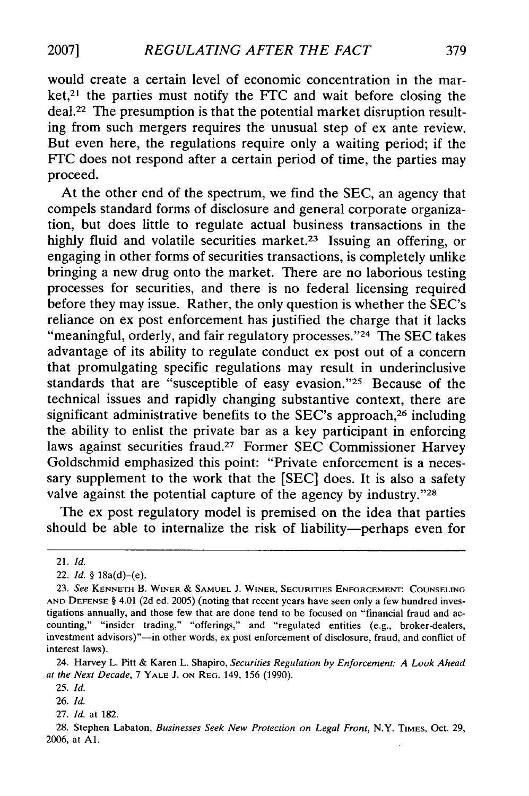would create a certain level of economic concentration in the mar $ket$ ,  $21$  the parties must notify the FTC and wait before closing the deal.22 The presumption is that the potential market disruption resulting from such mergers requires the unusual step of ex ante review. But even here, the regulations require only a waiting period; if the FTC does not respond after a certain period of time, the parties may proceed.

At the other end of the spectrum, we find the SEC, an agency that compels standard forms of disclosure and general corporate organization, but does little to regulate actual business transactions in the highly fluid and volatile securities market.<sup>23</sup> Issuing an offering, or engaging in other forms of securities transactions, is completely unlike bringing a new drug onto the market. There are no laborious testing processes for securities, and there is no federal licensing required before they may issue. Rather, the only question is whether the SEC's reliance on ex post enforcement has justified the charge that it lacks "meaningful, orderly, and fair regulatory processes."<sup>24</sup> The SEC takes advantage of its ability to regulate conduct ex post out of a concern that promulgating specific regulations may result in underinclusive standards that are "susceptible of easy evasion."<sup>25</sup> Because of the technical issues and rapidly changing substantive context, there are significant administrative benefits to the SEC's approach,<sup>26</sup> including the ability to enlist the private bar as a key participant in enforcing laws against securities fraud.<sup>27</sup> Former SEC Commissioner Harvey Goldschmid emphasized this point: "Private enforcement is a necessary supplement to the work that the **[SEC]** does. It is also a safety valve against the potential capture of the agency by industry."28

The ex post regulatory model is premised on the idea that parties should be able to internalize the risk of liability-perhaps even for

26. *Id.*

<sup>21.</sup> *Id.*

<sup>22.</sup> *Id.* § l8a(d)-(e).

**<sup>23.</sup>** *See* **KENNETH** B. WINER *&* **SAMUEL** J. WINER, SECURITIES **ENFORCEMENT: COUNSELING AND DEFENSE** § 4.01 **(2d** ed. 2005) (noting that recent years have seen only a few hundred investigations annually, and those few that are done tend to be focused on "financial fraud and accounting," "insider trading," "offerings," and "regulated entities (e.g., broker-dealers, investment advisors)"-in other words, ex post enforcement of disclosure, fraud, and conflict of interest laws).

<sup>24.</sup> Harvey L. Pitt & Karen L. Shapiro, *Securities Regulation by Enforcement. A Look Ahead at the Next Decade,* 7 YALE J. **ON** REG. 149, 156 (1990).

<sup>25.</sup> Id.

<sup>27.</sup> *Id.* at 182.

<sup>28.</sup> Stephen Labaton, *Businesses Seek New Protection on Legal Front,* N.Y. **TIMES,** Oct. 29, 2006, at **Al.**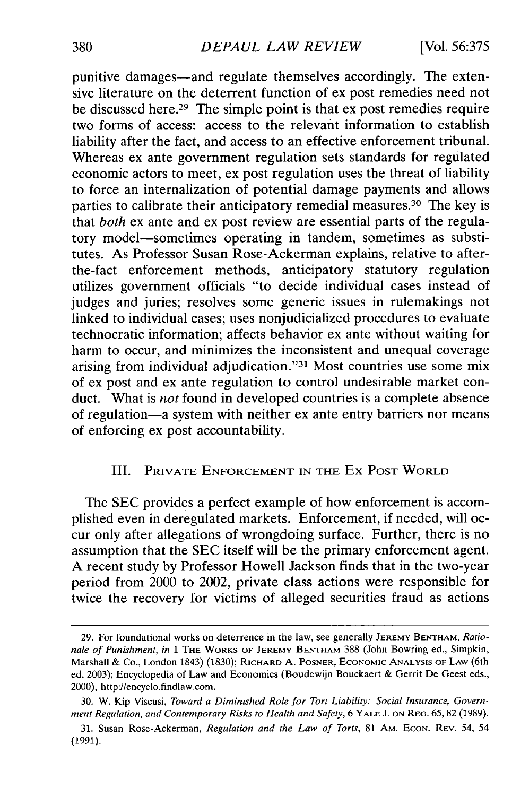punitive damages—and regulate themselves accordingly. The extensive literature on the deterrent function of ex post remedies need not be discussed here.<sup>29</sup> The simple point is that ex post remedies require two forms of access: access to the relevant information to establish liability after the fact, and access to an effective enforcement tribunal. Whereas ex ante government regulation sets standards for regulated economic actors to meet, ex post regulation uses the threat of liability to force an internalization of potential damage payments and allows parties to calibrate their anticipatory remedial measures.30 The key is that *both* ex ante and ex post review are essential parts of the regulatory model-sometimes operating in tandem, sometimes as substitutes. As Professor Susan Rose-Ackerman explains, relative to afterthe-fact enforcement methods, anticipatory statutory regulation utilizes government officials "to decide individual cases instead of judges and juries; resolves some generic issues in rulemakings not linked to individual cases; uses nonjudicialized procedures to evaluate technocratic information; affects behavior ex ante without waiting for harm to occur, and minimizes the inconsistent and unequal coverage arising from individual adjudication."<sup>31</sup> Most countries use some mix of ex post and ex ante regulation to control undesirable market conduct. What is *not* found in developed countries is a complete absence of regulation-a system with neither ex ante entry barriers nor means of enforcing ex post accountability.

# III. PRIVATE ENFORCEMENT IN THE Ex **POST** WORLD

The SEC provides a perfect example of how enforcement is accomplished even in deregulated markets. Enforcement, if needed, will occur only after allegations of wrongdoing surface. Further, there is no assumption that the SEC itself will be the primary enforcement agent. A recent study by Professor Howell Jackson finds that in the two-year period from 2000 to 2002, private class actions were responsible for twice the recovery for victims of alleged securities fraud as actions

<sup>29.</sup> For foundational works on deterrence in the law, see generally JEREMY BENTHAM, *Rationale of Punishment, in* 1 THE WORKS OF **JEREMY** BENTHAM 388 (John Bowring ed., Simpkin, Marshall & Co., London 1843) (1830); RICHARD A. POSNER, ECONOMIC **ANALYSIS** OF LAW (6th ed. 2003); Encyclopedia of Law and Economics (Boudewijn Bouckaert & Gerrit De Geest eds., 2000), http://encyclo.findlaw.com.

<sup>30.</sup> W. Kip Viscusi, *Toward a Diminished Role for Tort Liability: Social Insurance, Government Regulation, and Contemporary Risks to Health and Safety,* 6 YALE **J. ON** REG. 65, 82 (1989).

<sup>31.</sup> Susan Rose-Ackerman, *Regulation and the Law of Torts,* 81 AM. **ECON.** REV. 54, 54 (1991).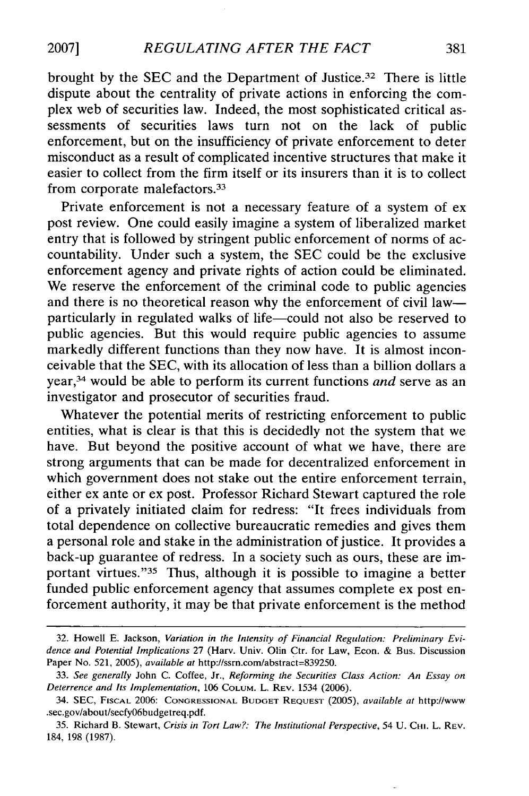**2007]**

brought by the SEC and the Department of Justice.<sup>32</sup> There is little dispute about the centrality of private actions in enforcing the complex web of securities law. Indeed, the most sophisticated critical assessments of securities laws turn not on the lack of public enforcement, but on the insufficiency of private enforcement to deter misconduct as a result of complicated incentive structures that make it easier to collect from the firm itself or its insurers than it is to collect from corporate malefactors.<sup>33</sup>

Private enforcement is not a necessary feature of a system of ex post review. One could easily imagine a system of liberalized market entry that is followed by stringent public enforcement of norms of accountability. Under such a system, the SEC could be the exclusive enforcement agency and private rights of action could be eliminated. We reserve the enforcement of the criminal code to public agencies and there is no theoretical reason why the enforcement of civil law particularly in regulated walks of life-could not also be reserved to public agencies. But this would require public agencies to assume markedly different functions than they now have. It is almost inconceivable that the SEC, with its allocation of less than a billion dollars a year,34 would be able to perform its current functions *and* serve as an investigator and prosecutor of securities fraud.

Whatever the potential merits of restricting enforcement to public entities, what is clear is that this is decidedly not the system that we have. But beyond the positive account of what we have, there are strong arguments that can be made for decentralized enforcement in which government does not stake out the entire enforcement terrain, either ex ante or ex post. Professor Richard Stewart captured the role of a privately initiated claim for redress: "It frees individuals from total dependence on collective bureaucratic remedies and gives them a personal role and stake in the administration of justice. It provides a back-up guarantee of redress. In a society such as ours, these are important virtues."<sup>35</sup> Thus, although it is possible to imagine a better funded public enforcement agency that assumes complete ex post enforcement authority, it may be that private enforcement is the method

<sup>32.</sup> Howell E. Jackson, *Variation in the Intensity of Financial Regulation: Preliminary Evidence and Potential Implications* 27 (Harv. Univ. Olin Ctr. for Law, Econ. & Bus. Discussion Paper No. 521, 2005), *available at* http://ssrn.com/abstract=839250.

<sup>33.</sup> *See generally* John C. Coffee, Jr., *Reforming the Securities Class Action: An Essay on Deterrence and Its Implementation,* 106 **COLUM.** L. REV. 1534 (2006).

<sup>34.</sup> SEC, FISCAL 2006: **CONGRESSIONAL BUDGET REQUEST** (2005), *available at* http://www .sec.gov/about/secfy06budgetreq.pdf.

<sup>35.</sup> Richard B. Stewart, *Crisis in Tort Law?: The Institutional Perspective,* 54 U. **CHI.** L. REV. 184, 198 (1987).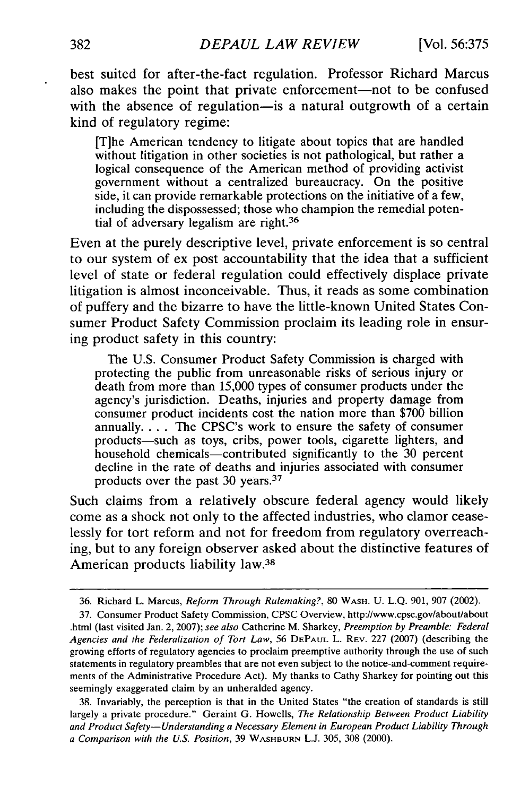best suited for after-the-fact regulation. Professor Richard Marcus also makes the point that private enforcement-not to be confused with the absence of regulation—is a natural outgrowth of a certain kind of regulatory regime:

[T]he American tendency to litigate about topics that are handled without litigation in other societies is not pathological, but rather a logical consequence of the American method of providing activist government without a centralized bureaucracy. On the positive side, it can provide remarkable protections on the initiative of a few, including the dispossessed; those who champion the remedial potential of adversary legalism are right.<sup>36</sup>

Even at the purely descriptive level, private enforcement is so central to our system of ex post accountability that the idea that a sufficient level of state or federal regulation could effectively displace private litigation is almost inconceivable. Thus, it reads as some combination of puffery and the bizarre to have the little-known United States Consumer Product Safety Commission proclaim its leading role in ensuring product safety in this country:

The U.S. Consumer Product Safety Commission is charged with protecting the public from unreasonable risks of serious injury or death from more than 15,000 types of consumer products under the agency's jurisdiction. Deaths, injuries and property damage from consumer product incidents cost the nation more than \$700 billion annually.... The CPSC's work to ensure the safety of consumer products-such as toys, cribs, power tools, cigarette lighters, and household chemicals—contributed significantly to the 30 percent decline in the rate of deaths and injuries associated with consumer products over the past 30 years.<sup>37</sup>

Such claims from a relatively obscure federal agency would likely come as a shock not only to the affected industries, who clamor ceaselessly for tort reform and not for freedom from regulatory overreaching, but to any foreign observer asked about the distinctive features of American products liability law.<sup>38</sup>

<sup>36.</sup> Richard L. Marcus, *Reform Through Rulemaking?,* **80** WASH. U. L.Q. 901, 907 (2002).

<sup>37.</sup> Consumer Product Safety Commission, CPSC Overview, http://www.cpsc.gov/about/about .html (last visited Jan. 2, 2007); *see also* Catherine M. Sharkey, *Preemption by Preamble: Federal Agencies and the Federalization of Tort Law,* 56 **DEPAUL** L. REV. 227 (2007) (describing the growing efforts of regulatory agencies to proclaim preemptive authority through the use of such statements in regulatory preambles that are not even subject to the notice-and-comment requirements of the Administrative Procedure Act). My thanks to Cathy Sharkey for pointing out this seemingly exaggerated claim by an unheralded agency.

<sup>38.</sup> Invariably, the perception is that in the United States "the creation of standards is still largely a private procedure." Geraint G. Howells, *The Relationship Between Product Liability and Product Safety-Understanding a Necessary Element in European Product Liability Through a Comparison with the U.S. Position,* 39 WASHBURN L.J. 305, 308 (2000).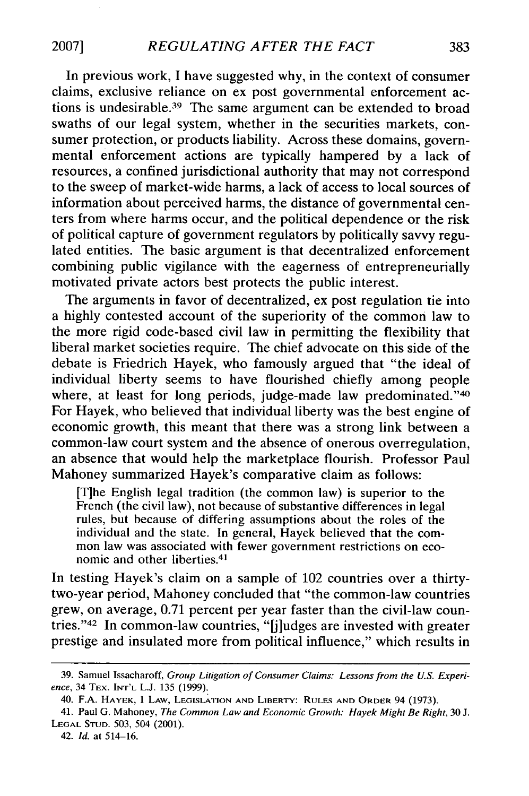In previous work, I have suggested why, in the context of consumer claims, exclusive reliance on ex post governmental enforcement actions is undesirable. 39 The same argument can be extended to broad swaths of our legal system, whether in the securities markets, consumer protection, or products liability. Across these domains, governmental enforcement actions are typically hampered by a lack of resources, a confined jurisdictional authority that may not correspond to the sweep of market-wide harms, a lack of access to local sources of information about perceived harms, the distance of governmental centers from where harms occur, and the political dependence or the risk of political capture of government regulators by politically savvy regulated entities. The basic argument is that decentralized enforcement combining public vigilance with the eagerness of entrepreneurially motivated private actors best protects the public interest.

The arguments in favor of decentralized, ex post regulation tie into a highly contested account of the superiority of the common law to the more rigid code-based civil law in permitting the flexibility that liberal market societies require. The chief advocate on this side of the debate is Friedrich Hayek, who famously argued that "the ideal of individual liberty seems to have flourished chiefly among people where, at least for long periods, judge-made law predominated."40 For Hayek, who believed that individual liberty was the best engine of economic growth, this meant that there was a strong link between a common-law court system and the absence of onerous overregulation, an absence that would help the marketplace flourish. Professor Paul Mahoney summarized Hayek's comparative claim as follows:

[T]he English legal tradition (the common law) is superior to the French (the civil law), not because of substantive differences in legal rules, but because of differing assumptions about the roles of the individual and the state. In general, Hayek believed that the common law was associated with fewer government restrictions on economic and other liberties. <sup>41</sup>

In testing Hayek's claim on a sample of 102 countries over a thirtytwo-year period, Mahoney concluded that "the common-law countries grew, on average, 0.71 percent per year faster than the civil-law countries. '42 In common-law countries, "[j]udges are invested with greater prestige and insulated more from political influence," which results in

**2007]**

<sup>39.</sup> Samuel Issacharoff, *Group Litigation of Consumer Claims: Lessons from the U.S. Experience,* 34 TEX. **INT'L** L.J. 135 (1999).

<sup>40.</sup> F.A. HAYEK, 1 LAW, LEGISLATION **AND** LIBERTY: **RULES AND** ORDER 94 (1973).

<sup>41.</sup> Paul G. Mahoney, *The Common Law and Economic Growth: Hayek Might Be Right,* **30** J. LEGAL **STUD.** 503, 504 (2001).

<sup>42.</sup> *Id.* at 514-16.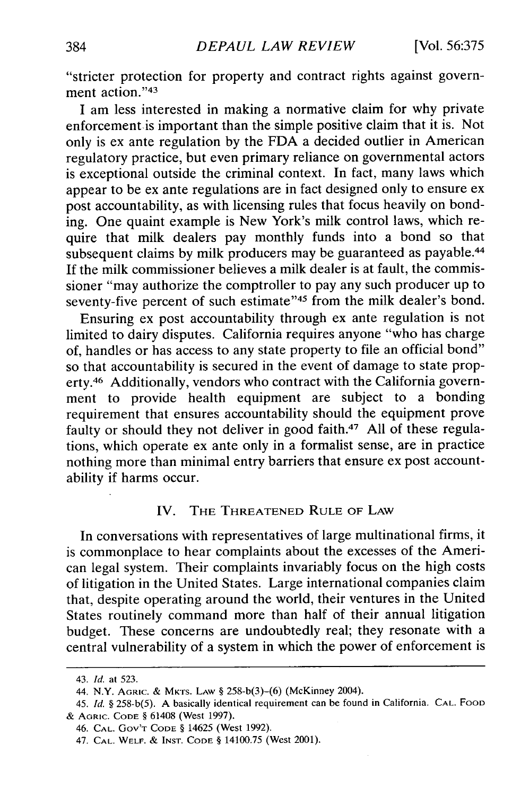"stricter protection for property and contract rights against government action."43

I am less interested in making a normative claim for why private enforcement is important than the simple positive claim that it is. Not only is ex ante regulation by the FDA a decided outlier in American regulatory practice, but even primary reliance on governmental actors is exceptional outside the criminal context. In fact, many laws which appear to be ex ante regulations are in fact designed only to ensure ex post accountability, as with licensing rules that focus heavily on bonding. One quaint example is New York's milk control laws, which require that milk dealers pay monthly funds into a bond so that subsequent claims by milk producers may be guaranteed as payable.<sup>44</sup> If the milk commissioner believes a milk dealer is at fault, the commissioner "may authorize the comptroller to pay any such producer up to seventy-five percent of such estimate"<sup>45</sup> from the milk dealer's bond.

Ensuring ex post accountability through ex ante regulation is not limited to dairy disputes. California requires anyone "who has charge of, handles or has access to any state property to file an official bond" so that accountability is secured in the event of damage to state property.46 Additionally, vendors who contract with the California government to provide health equipment are subject to a bonding requirement that ensures accountability should the equipment prove faulty or should they not deliver in good faith.<sup>47</sup> All of these regulations, which operate ex ante only in a formalist sense, are in practice nothing more than minimal entry barriers that ensure ex post accountability if harms occur.

## IV. THE **THREATENED** RULE **OF** LAW

In conversations with representatives of large multinational firms, it is commonplace to hear complaints about the excesses of the American legal system. Their complaints invariably focus on the high costs of litigation in the United States. Large international companies claim that, despite operating around the world, their ventures in the United States routinely command more than half of their annual litigation budget. These concerns are undoubtedly real; they resonate with a central vulnerability of a system in which the power of enforcement is

<sup>43.</sup> *Id.* at 523.

<sup>44.</sup> N.Y. **AGRIC. & MKTS.** LAW § 258-b(3)-(6) (McKinney 2004).

<sup>45.</sup> *Id.* § **258-b(5). A** basically identical requirement can be found in California. **CAL.** FOOD **&** AGRIC. **CODE §** 61408 (West 1997).

<sup>46.</sup> **CAL. Gov'T CODE** § 14625 (West **1992).**

<sup>47.</sup> **CAL.** WELF. **& INST. CODE** § 14100.75 (West 2001).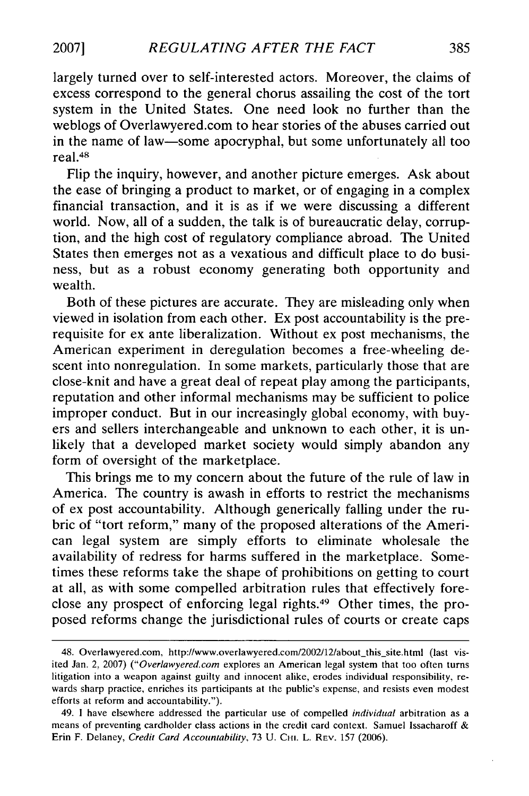largely turned over to self-interested actors. Moreover, the claims of excess correspond to the general chorus assailing the cost of the tort system in the United States. One need look no further than the weblogs of Overlawyered.com to hear stories of the abuses carried out in the name of law-some apocryphal, but some unfortunately all too real. <sup>48</sup>

Flip the inquiry, however, and another picture emerges. Ask about the ease of bringing a product to market, or of engaging in a complex financial transaction, and it is as if we were discussing a different world. Now, all of a sudden, the talk is of bureaucratic delay, corruption, and the high cost of regulatory compliance abroad. The United States then emerges not as a vexatious and difficult place to do business, but as a robust economy generating both opportunity and wealth.

Both of these pictures are accurate. They are misleading only when viewed in isolation from each other. Ex post accountability is the prerequisite for ex ante liberalization. Without ex post mechanisms, the American experiment in deregulation becomes a free-wheeling descent into nonregulation. In some markets, particularly those that are close-knit and have a great deal of repeat play among the participants, reputation and other informal mechanisms may be sufficient to police improper conduct. But in our increasingly global economy, with buyers and sellers interchangeable and unknown to each other, it is unlikely that a developed market society would simply abandon any form of oversight of the marketplace.

This brings me to my concern about the future of the rule of law in America. The country is awash in efforts to restrict the mechanisms of ex post accountability. Although generically falling under the rubric of "tort reform," many of the proposed alterations of the American legal system are simply efforts to eliminate wholesale the availability of redress for harms suffered in the marketplace. Sometimes these reforms take the shape of prohibitions on getting to court at all, as with some compelled arbitration rules that effectively foreclose any prospect of enforcing legal rights.49 Other times, the proposed reforms change the jurisdictional rules of courts or create caps

<sup>48.</sup> Overlawyered.com, http://www.overlawyered.com/2002/12/about\_this\_site.html (last visited Jan. 2, 2007) ("Overlawyered.com explores an American legal system that too often turns litigation into a weapon against guilty and innocent alike, erodes individual responsibility, rewards sharp practice, enriches its participants at the public's expense, and resists even modest efforts at reform and accountability.").

<sup>49. 1</sup> have elsewhere addressed the particular use of compelled individual arbitration as a means of preventing cardholder class actions in the credit card context. Samuel Issacharoff  $\&$ Erin F. Delaney, Credit Card Accountability, 73 U. CHI. L. REV. 157 (2006).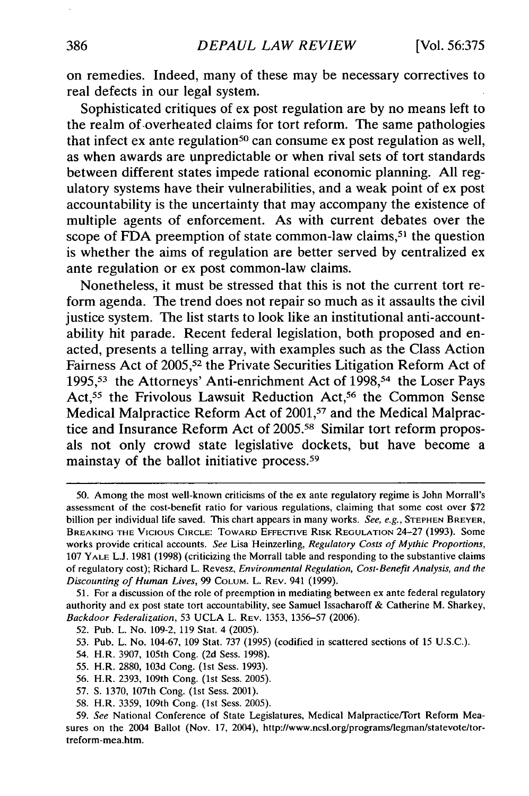on remedies. Indeed, many of these may be necessary correctives to real defects in our legal system.

Sophisticated critiques of ex post regulation are **by** no means left to the realm of overheated claims for tort reform. The same pathologies that infect  $ex$  ante regulation<sup>50</sup> can consume  $ex$  post regulation as well, as when awards are unpredictable or when rival sets of tort standards between different states impede rational economic planning. **All** regulatory systems have their vulnerabilities, and a weak point of ex post accountability is the uncertainty that may accompany the existence of multiple agents of enforcement. As with current debates over the scope of FDA preemption of state common-law claims,<sup>51</sup> the question is whether the aims of regulation are better served **by** centralized ex ante regulation or ex post common-law claims.

Nonetheless, it must be stressed that this is not the current tort reform agenda. The trend does not repair so much as it assaults the civil justice system. The list starts to look like an institutional anti-accountability hit parade. Recent federal legislation, both proposed and enacted, presents a telling array, with examples such as the Class Action Fairness Act of **2005,52** the Private Securities Litigation Reform Act of **1995,S<sup>3</sup>**the Attorneys' Anti-enrichment Act of **1998, <sup>54</sup>**the Loser Pays Act,<sup>55</sup> the Frivolous Lawsuit Reduction Act,<sup>56</sup> the Common Sense Medical Malpractice Reform Act of **2001, <sup>57</sup>**and the Medical Malpractice and Insurance Reform Act of **2005.58** Similar tort reform proposals not only crowd state legislative dockets, but have become a mainstay of the ballot initiative process. <sup>59</sup>

**<sup>50.</sup>** Among the most well-known criticisms of the ex ante regulatory regime is John Morrall's assessment of the cost-benefit ratio for various regulations, claiming that some cost over \$72 billion per individual life saved. This chart appears in many works. *See, e.g.,* **STEPHEN BREYER,** BREAKING THE VICIOUS CIRCLE: TOWARD EFFECTIVE RISK REGULATION 24-27 (1993). Some works provide critical accounts. *See* Lisa Heinzerling, *Regulatory Costs of Mythic Proportions,* 107 YALE L.J. 1981 (1998) (criticizing the Morrall table and responding to the substantive claims of regulatory cost); Richard L. Revesz, *Environmental Regulation, Cost-Benefit Analysis, and the Discounting of Human Lives,* 99 COLUM. L. REV. 941 (1999).

<sup>51.</sup> For a discussion of the role of preemption in mediating between ex ante federal regulatory authority and ex post state tort accountability, see Samuel Issacharoff **&** Catherine M. Sharkey, *Backdoor Federalization,* 53 UCLA L. REV. 1353, 1356-57 (2006).

<sup>52.</sup> Pub. L. No. 109-2, 119 Stat. 4 (2005).

<sup>53.</sup> Pub. L. No. 104-67, 109 Stat. 737 (1995) (codified in scattered sections of 15 U.S.C.).

<sup>54.</sup> H.R. 3907, 105th Cong. (2d Sess. 1998).

<sup>55.</sup> H.R. 2880, 103d Cong. (1st Sess. 1993).

<sup>56.</sup> H.R. 2393, 109th Cong. (1st Sess. 2005).

<sup>57.</sup> **S.** 1370, 107th Cong. (1st Sess. 2001).

<sup>58.</sup> H.R. 3359, 109th Cong. (1st Sess. 2005).

<sup>59.</sup> *See* National Conference of State Legislatures, Medical Malpractice/Tort Reform Measures on the 2004 Ballot (Nov. 17, 2004), http://www.ncsl.org/programs/legman/statevote/tortreform-mea.htm.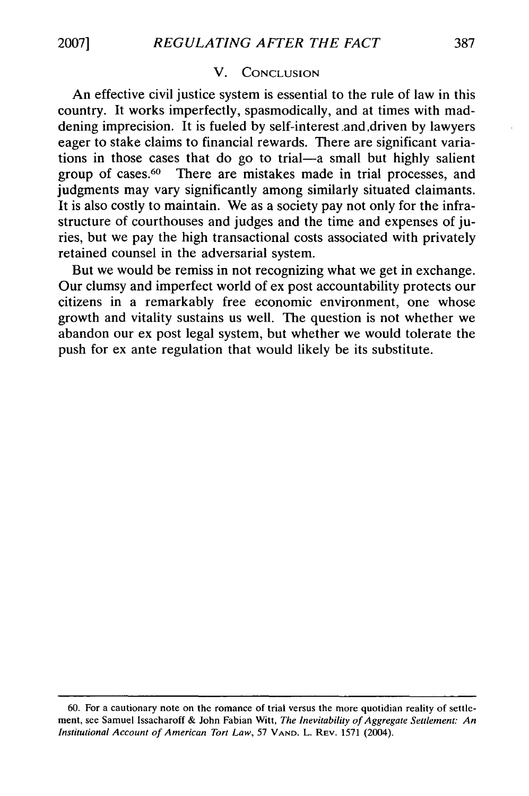## V. CONCLUSION

An effective civil justice system is essential to the rule of law in this country. It works imperfectly, spasmodically, and at times with maddening imprecision. It is fueled by self-interest .and ,driven by lawyers eager to stake claims to financial rewards. There are significant variations in those cases that do go to trial—a small but highly salient group of cases.<sup>60</sup> There are mistakes made in trial processes, and There are mistakes made in trial processes, and judgments may vary significantly among similarly situated claimants. It is also costly to maintain. We as a society pay not only for the infrastructure of courthouses and judges and the time and expenses of juries, but we pay the high transactional costs associated with privately retained counsel in the adversarial system.

But we would be remiss in not recognizing what we get in exchange. Our clumsy and imperfect world of ex post accountability protects our citizens in a remarkably free economic environment, one whose growth and vitality sustains us well. The question is not whether we abandon our ex post legal system, but whether we would tolerate the push for ex ante regulation that would likely be its substitute.

<sup>60.</sup> For a cautionary note on the romance of trial versus the more quotidian reality of settlement, see Samuel Issacharoff & John Fabian Witt, *The Inevitability of Aggregate Settlement: An Institutional Account of American Tort Law,* 57 **VAND.** L. REV. 1571 (2004).